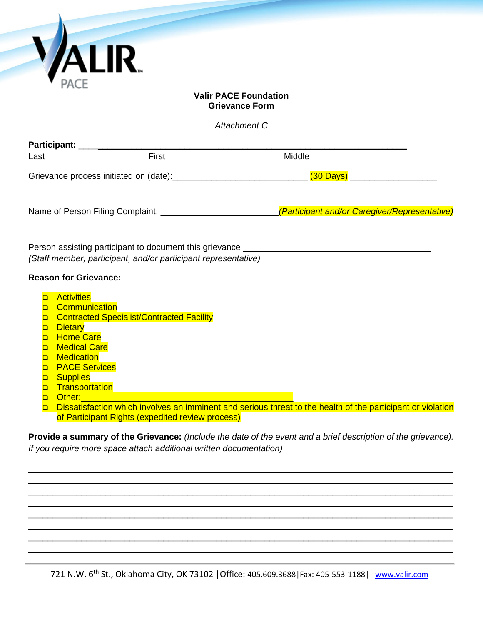|                                                          | <i><b>VALIR</b></i>                                                                                                                                                                                                                                                                                                                                            |                                                                                   |  |  |
|----------------------------------------------------------|----------------------------------------------------------------------------------------------------------------------------------------------------------------------------------------------------------------------------------------------------------------------------------------------------------------------------------------------------------------|-----------------------------------------------------------------------------------|--|--|
| <b>Valir PACE Foundation</b><br><b>Grievance Form</b>    |                                                                                                                                                                                                                                                                                                                                                                |                                                                                   |  |  |
|                                                          |                                                                                                                                                                                                                                                                                                                                                                | Attachment C                                                                      |  |  |
| Last                                                     | Participant: <u>__________________________</u><br>First                                                                                                                                                                                                                                                                                                        | Middle                                                                            |  |  |
|                                                          |                                                                                                                                                                                                                                                                                                                                                                | (30 Days) ______________________                                                  |  |  |
|                                                          | (Staff member, participant, and/or participant representative)                                                                                                                                                                                                                                                                                                 | Person assisting participant to document this grievance _________________________ |  |  |
|                                                          | <b>Reason for Grievance:</b>                                                                                                                                                                                                                                                                                                                                   |                                                                                   |  |  |
| $\Box$<br>$\Box$<br>$\Box$<br>$\Box$<br>$\Box$<br>$\Box$ | a Activities<br><b>Communication</b><br>Contracted Specialist/Contracted Facility<br>Dietary<br><b>Home Care</b><br><b>Medical Care</b><br><b>Medication</b><br><b>PACE Services</b><br><b>D</b> Supplies<br>Transportation<br>Other:<br><u> 1999 - Johann Stoff, deutscher Stoffen und der Stoffen und der Stoffen und der Stoffen und der Stoffen und de</u> |                                                                                   |  |  |

 Dissatisfaction which involves an imminent and serious threat to the health of the participant or violation of Participant Rights (expedited review process)

**Provide a summary of the Grievance:** *(Include the date of the event and a brief description of the grievance). If you require more space attach additional written documentation)*

\_\_\_\_\_\_\_\_\_\_\_\_\_\_\_\_\_\_\_\_\_\_\_\_\_\_\_\_\_\_\_\_\_\_\_\_\_\_\_\_\_\_\_\_\_\_\_\_\_\_\_\_\_\_\_\_\_\_\_\_\_\_\_\_\_\_\_\_\_\_\_\_\_\_\_\_\_\_\_\_\_\_\_\_\_\_\_\_ \_\_\_\_\_\_\_\_\_\_\_\_\_\_\_\_\_\_\_\_\_\_\_\_\_\_\_\_\_\_\_\_\_\_\_\_\_\_\_\_\_\_\_\_\_\_\_\_\_\_\_\_\_\_\_\_\_\_\_\_\_\_\_\_\_\_\_\_\_\_\_\_\_\_\_\_\_\_\_\_\_\_\_\_\_\_\_\_ \_\_\_\_\_\_\_\_\_\_\_\_\_\_\_\_\_\_\_\_\_\_\_\_\_\_\_\_\_\_\_\_\_\_\_\_\_\_\_\_\_\_\_\_\_\_\_\_\_\_\_\_\_\_\_\_\_\_\_\_\_\_\_\_\_\_\_\_\_\_\_\_\_\_\_\_\_\_\_\_\_\_\_\_\_\_\_\_ \_\_\_\_\_\_\_\_\_\_\_\_\_\_\_\_\_\_\_\_\_\_\_\_\_\_\_\_\_\_\_\_\_\_\_\_\_\_\_\_\_\_\_\_\_\_\_\_\_\_\_\_\_\_\_\_\_\_\_\_\_\_\_\_\_\_\_\_\_\_\_\_\_\_\_\_\_\_\_\_\_\_\_\_\_\_\_\_  $\mathcal{L}_\mathcal{L} = \mathcal{L}_\mathcal{L} = \mathcal{L}_\mathcal{L} = \mathcal{L}_\mathcal{L} = \mathcal{L}_\mathcal{L} = \mathcal{L}_\mathcal{L} = \mathcal{L}_\mathcal{L} = \mathcal{L}_\mathcal{L} = \mathcal{L}_\mathcal{L} = \mathcal{L}_\mathcal{L} = \mathcal{L}_\mathcal{L} = \mathcal{L}_\mathcal{L} = \mathcal{L}_\mathcal{L} = \mathcal{L}_\mathcal{L} = \mathcal{L}_\mathcal{L} = \mathcal{L}_\mathcal{L} = \mathcal{L}_\mathcal{L}$ \_\_\_\_\_\_\_\_\_\_\_\_\_\_\_\_\_\_\_\_\_\_\_\_\_\_\_\_\_\_\_\_\_\_\_\_\_\_\_\_\_\_\_\_\_\_\_\_\_\_\_\_\_\_\_\_\_\_\_\_\_\_\_\_\_\_\_\_\_\_\_\_\_\_\_\_\_\_\_\_\_\_\_\_\_\_\_\_ \_\_\_\_\_\_\_\_\_\_\_\_\_\_\_\_\_\_\_\_\_\_\_\_\_\_\_\_\_\_\_\_\_\_\_\_\_\_\_\_\_\_\_\_\_\_\_\_\_\_\_\_\_\_\_\_\_\_\_\_\_\_\_\_\_\_\_\_\_\_\_\_\_\_\_\_\_\_\_\_\_\_\_\_\_\_\_\_  $\mathcal{L}_\mathcal{L} = \mathcal{L}_\mathcal{L} = \mathcal{L}_\mathcal{L} = \mathcal{L}_\mathcal{L} = \mathcal{L}_\mathcal{L} = \mathcal{L}_\mathcal{L} = \mathcal{L}_\mathcal{L} = \mathcal{L}_\mathcal{L} = \mathcal{L}_\mathcal{L} = \mathcal{L}_\mathcal{L} = \mathcal{L}_\mathcal{L} = \mathcal{L}_\mathcal{L} = \mathcal{L}_\mathcal{L} = \mathcal{L}_\mathcal{L} = \mathcal{L}_\mathcal{L} = \mathcal{L}_\mathcal{L} = \mathcal{L}_\mathcal{L}$